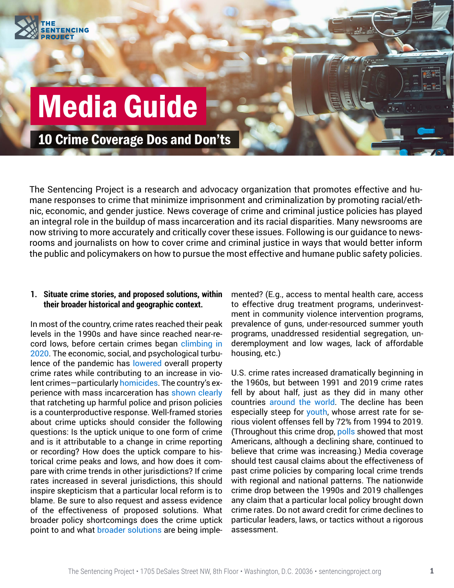

# Media Guide

10 Crime Coverage Dos and Don'ts

The Sentencing Project is a research and advocacy organization that promotes effective and humane responses to crime that minimize imprisonment and criminalization by promoting racial/ethnic, economic, and gender justice. News coverage of crime and criminal justice policies has played an integral role in the buildup of mass incarceration and its racial disparities. Many newsrooms are now striving to more accurately and critically cover these issues. Following is our guidance to newsrooms and journalists on how to cover crime and criminal justice in ways that would better inform the public and policymakers on how to pursue the most effective and humane public safety policies.

#### **1. Situate crime stories, and proposed solutions, within their broader historical and geographic context.**

In most of the country, crime rates reached their peak levels in the 1990s and have since reached near-record lows, before certain crimes began [climbing in](https://counciloncj.org/impact-report-covid-19-and-crime-6/)  [2020.](https://counciloncj.org/impact-report-covid-19-and-crime-6/) The economic, social, and psychological turbulence of the pandemic has [lowered](https://crime-data-explorer.app.cloud.gov/pages/explorer/crime/crime-trend) overall property crime rates while contributing to an increase in violent crimes—particularly [homicides](https://counciloncj.org/crime-trends-yearend-2021-update/). The country's experience with mass incarceration has [shown clearly](https://nap.nationalacademies.org/catalog/18613/the-growth-of-incarceration-in-the-united-states-exploring-causes) that ratcheting up harmful police and prison policies is a counterproductive response. Well-framed stories about crime upticks should consider the following questions: Is the uptick unique to one form of crime and is it attributable to a change in crime reporting or recording? How does the uptick compare to historical crime peaks and lows, and how does it compare with crime trends in other jurisdictions? If crime rates increased in several jurisdictions, this should inspire skepticism that a particular local reform is to blame. Be sure to also request and assess evidence of the effectiveness of proposed solutions. What broader policy shortcomings does the crime uptick point to and what [broader solutions](https://johnjayrec.nyc/2020/11/09/av2020/) are being implemented? (E.g., access to mental health care, access to effective drug treatment programs, underinvestment in community violence intervention programs, prevalence of guns, under-resourced summer youth programs, unaddressed residential segregation, underemployment and low wages, lack of affordable housing, etc.)

U.S. crime rates increased dramatically beginning in the 1960s, but between 1991 and 2019 crime rates fell by about half, just as they did in many other countries [around the world.](https://journals.sagepub.com/doi/abs/10.1177/1477370810367014) The decline has been especially steep for [youth,](https://www.ojjdp.gov/ojstatbb/crime/JAR_Display.asp?ID=qa05218&selOffenses=35) whose arrest rate for serious violent offenses fell by 72% from 1994 to 2019. (Throughout this crime drop, [polls](https://fivethirtyeight.com/features/many-americans-are-convinced-crime-is-rising-in-the-u-s-theyre-wrong/) showed that most Americans, although a declining share, continued to believe that crime was increasing.) Media coverage should test causal claims about the effectiveness of past crime policies by comparing local crime trends with regional and national patterns. The nationwide crime drop between the 1990s and 2019 challenges any claim that a particular local policy brought down crime rates. Do not award credit for crime declines to particular leaders, laws, or tactics without a rigorous assessment.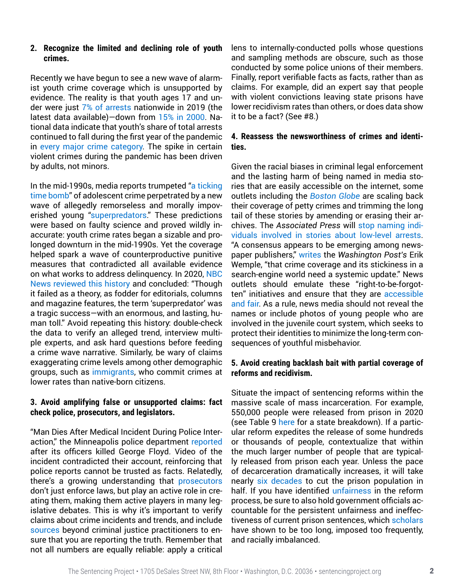#### **2. Recognize the limited and declining role of youth crimes.**

Recently we have begun to see a new wave of alarmist youth crime coverage which is unsupported by evidence. The reality is that youth ages 17 and under were just [7% of arrests](https://www.ojjdp.gov/ojstatbb/crime/qa05102.asp?qaDate=2019) nationwide in 2019 (the latest data available)—down from [15% in 2000](https://www.ojjdp.gov/ojstatbb/crime/qa05102.asp?qaDate=2000&text=no). National data indicate that youth's share of total arrests continued to fall during the first year of the pandemic in [every major crime category](https://crime-data-explorer.app.cloud.gov/pages/home). The spike in certain violent crimes during the pandemic has been driven by adults, not minors.

In the mid-1990s, media reports trumpeted ["a ticking](https://www.nytimes.com/1996/01/06/us/experts-on-crime-warn-of-a-ticking-time-bomb.html) [time bomb](https://www.nytimes.com/1996/01/06/us/experts-on-crime-warn-of-a-ticking-time-bomb.html)" of adolescent crime perpetrated by a new wave of allegedly remorseless and morally impoverished young ["superpredators.](https://www.washingtonexaminer.com/weekly-standard/the-coming-of-the-super-predators)" These predictions were based on faulty science and proved wildly inaccurate: youth crime rates began a sizable and prolonged downturn in the mid-1990s. Yet the coverage helped spark a wave of counterproductive punitive measures that contradicted all available evidence on what works to address delinquency. In 2020, [NBC](https://www.nbcnews.com/news/us-news/analysis-how-media-created-superpredator-myth-harmed-generation-black-youth-n1248101)  [News reviewed this history](https://www.nbcnews.com/news/us-news/analysis-how-media-created-superpredator-myth-harmed-generation-black-youth-n1248101) and concluded: "Though it failed as a theory, as fodder for editorials, columns and magazine features, the term 'superpredator' was a tragic success—with an enormous, and lasting, human toll." Avoid repeating this history: double-check the data to verify an alleged trend, interview multiple experts, and ask hard questions before feeding a crime wave narrative. Similarly, be wary of claims exaggerating crime levels among other demographic groups, such as [immigrants](https://www.sentencingproject.org/publications/immigration-public-safety/), who commit crimes at lower rates than native-born citizens.

## **3. Avoid amplifying false or unsupported claims: fact check police, prosecutors, and legislators.**

"Man Dies After Medical Incident During Police Interaction," the Minneapolis police department [reported](https://www.npr.org/2021/04/24/990376231/opinion-after-george-floyds-death-a-press-release-obscured-a-police-murder) after its officers killed George Floyd. Video of the incident contradicted their account, reinforcing that police reports cannot be trusted as facts. Relatedly, there's a growing understanding that [prosecutors](https://theappeal.org/prosecutors-arent-just-enforcing-the-law-they-re-making-it-d83e6e59f97a/) don't just enforce laws, but play an active role in creating them, making them active players in many legislative debates. This is why it's important to verify claims about crime incidents and trends, and include [sources](http://www.bmsg.org/wp-content/uploads/2001/04/bmsg_other_publication_off_balance.pdf) beyond criminal justice practitioners to ensure that you are reporting the truth. Remember that not all numbers are equally reliable: apply a critical

lens to internally-conducted polls whose questions and sampling methods are obscure, such as those conducted by some police unions of their members. Finally, report verifiable facts as facts, rather than as claims. For example, did an expert say that people with violent convictions leaving state prisons have lower recidivism rates than others, or does data show it to be a fact? (See #8.)

#### **4. Reassess the newsworthiness of crimes and identities.**

Given the racial biases in criminal legal enforcement and the lasting harm of being named in media stories that are easily accessible on the internet, some outlets including the *[Boston Globe](https://www.bostonglobe.com/2021/01/22/metro/globes-fresh-start-initiative-frequently-asked-questions/)* are scaling back their coverage of petty crimes and trimming the long tail of these stories by amending or erasing their archives. The *Associated Press* will [stop naming indi](https://blog.ap.org/behind-the-news/why-were-no-longer-naming-suspects-in-minor-crime-stories)[viduals involved in stories about low-level arrests](https://blog.ap.org/behind-the-news/why-were-no-longer-naming-suspects-in-minor-crime-stories). "A consensus appears to be emerging among newspaper publishers," [writes](https://www.washingtonpost.com/opinions/2021/06/18/we-want-differentiate-ourselves-television-news-outlets-tossing-old-approaches-covering-crime/) the *Washington Post's* Erik Wemple, "that crime coverage and its stickiness in a search-engine world need a systemic update." News outlets should emulate these "right-to-be-forgotten" initiatives and ensure that they are [accessible](https://papers.ssrn.com/sol3/papers.cfm?abstract_id=3882776)  [and fair](https://papers.ssrn.com/sol3/papers.cfm?abstract_id=3882776). As a rule, news media should not reveal the names or include photos of young people who are involved in the juvenile court system, which seeks to protect their identities to minimize the long-term consequences of youthful misbehavior.

#### **5. Avoid creating backlash bait with partial coverage of reforms and recidivism.**

Situate the impact of sentencing reforms within the massive scale of mass incarceration. For example, 550,000 people were released from prison in 2020 (see Table 9 [here](https://bjs.ojp.gov/content/pub/pdf/p20st.pdf) for a state breakdown). If a particular reform expedites the release of some hundreds or thousands of people, contextualize that within the much larger number of people that are typically released from prison each year. Unless the pace of decarceration dramatically increases, it will take nearly [six decades](https://www.sentencingproject.org/publications/can-we-wait-60-years-to-cut-the-prison-population-in-half/) to cut the prison population in half. If you have identified [unfairness](https://theappeal.org/pulitzer-prize-matt-bevin-commutations/) in the reform process, be sure to also hold government officials accountable for the persistent unfairness and ineffectiveness of current prison sentences, which [scholars](https://nap.nationalacademies.org/catalog/18613/the-growth-of-incarceration-in-the-united-states-exploring-causes) have shown to be too long, imposed too frequently, and racially imbalanced.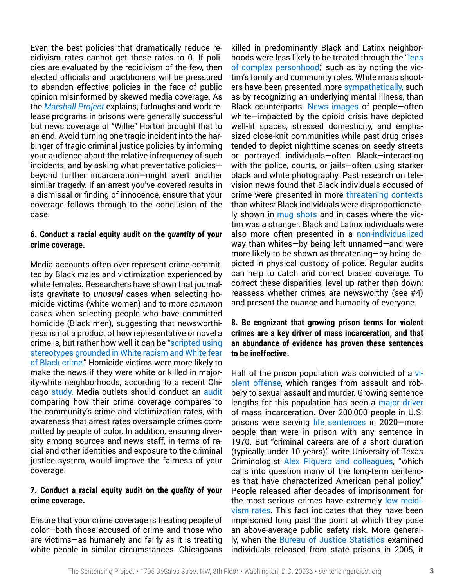Even the best policies that dramatically reduce recidivism rates cannot get these rates to 0. If policies are evaluated by the recidivism of the few, then elected officials and practitioners will be pressured to abandon effective policies in the face of public opinion misinformed by skewed media coverage. As the *[Marshall Project](https://www.themarshallproject.org/2015/05/13/willie-horton-revisited)* explains, furloughs and work release programs in prisons were generally successful but news coverage of "Willie" Horton brought that to an end. Avoid turning one tragic incident into the harbinger of tragic criminal justice policies by informing your audience about the relative infrequency of such incidents, and by asking what preventative policies beyond further incarceration—might avert another similar tragedy. If an arrest you've covered results in a dismissal or finding of innocence, ensure that your coverage follows through to the conclusion of the case.

#### **6. Conduct a racial equity audit on the** *quantity* **of your crime coverage.**

Media accounts often over represent crime committed by Black males and victimization experienced by white females. Researchers have shown that journalists gravitate to *unusual* cases when selecting homicide victims (white women) and to *more common* cases when selecting people who have committed homicide (Black men), suggesting that newsworthiness is not a product of how representative or novel a crime is, but rather how well it can be ["scripted using](https://link.springer.com/article/10.1023/A:1025713518156)  [stereotypes grounded in White racism and White fear](https://link.springer.com/article/10.1023/A:1025713518156)  [of Black crime."](https://link.springer.com/article/10.1023/A:1025713518156) Homicide victims were more likely to make the news if they were white or killed in majority-white neighborhoods, according to a recent Chicago [study](https://journals.sagepub.com/doi/10.1177/2332649220948184?eType=EmailBlastContent&eId=9a70a89a-5e80-453e-8d53-31af441f7bc1). Media outlets should conduct an [audit](http://www.bmsg.org/sites/default/files/bmsg_other_publication_off_balance.pdf) comparing how their crime coverage compares to the community's crime and victimization rates, with awareness that arrest rates oversample crimes committed by people of color. In addition, ensuring diversity among sources and news staff, in terms of racial and other identities and exposure to the criminal justice system, would improve the fairness of your coverage.

#### **7. Conduct a racial equity audit on the** *quality* **of your crime coverage.**

Ensure that your crime coverage is treating people of color—both those accused of crime and those who are victims—as humanely and fairly as it is treating white people in similar circumstances. Chicagoans

killed in predominantly Black and Latinx neighborhoods were less likely to be treated through the ["lens](https://journals.sagepub.com/doi/10.1177/2332649220948184?eType=EmailBlastContent&eId=9a70a89a-5e80-453e-8d53-31af441f7bc1)  [of complex personhood,](https://journals.sagepub.com/doi/10.1177/2332649220948184?eType=EmailBlastContent&eId=9a70a89a-5e80-453e-8d53-31af441f7bc1)" such as by noting the victim's family and community roles. White mass shooters have been presented more [sympathetically,](https://journals.sagepub.com/doi/abs/10.1177/0022427818787225?journalCode=jrca) such as by recognizing an underlying mental illness, than Black counterparts. [News images](https://www.cjr.org/criticism/opioid-crisis-photos.php?link) of people—often white—impacted by the opioid crisis have depicted well-lit spaces, stressed domesticity, and emphasized close-knit communities while past drug crises tended to depict nighttime scenes on seedy streets or portrayed individuals—often Black—interacting with the police, courts, or jails—often using starker black and white photography. Past research on television news found that Black individuals accused of crime were presented in more [threatening contexts](https://journals.sagepub.com/doi/10.1177/002242702237286) than whites: Black individuals were disproportionately shown in [mug shots](https://www.poynter.org/ethics-trust/2020/newsrooms-are-rethinking-their-use-of-mugshots-in-crime-reporting/) and in cases where the victim was a stranger. Black and Latinx individuals were also more often presented in a [non-individualized](https://press.uchicago.edu/ucp/books/book/chicago/B/bo4488399.html) way than whites—by being left unnamed—and were more likely to be shown as threatening—by being depicted in physical custody of police. Regular audits can help to catch and correct biased coverage. To correct these disparities, level up rather than down: reassess whether crimes are newsworthy (see #4) and present the nuance and humanity of everyone.

## **8. Be cognizant that growing prison terms for violent crimes are a key driver of mass incarceration, and that an abundance of evidence has proven these sentences to be ineffective.**

Half of the prison population was convicted of a [vi](https://www.sentencingproject.org/publications/the-next-step-ending-excessive-punishment-for-violent-crimes/)[olent offense](https://www.sentencingproject.org/publications/the-next-step-ending-excessive-punishment-for-violent-crimes/), which ranges from assault and robbery to sexual assault and murder. Growing sentence lengths for this population has been a [major driver](https://www.nap.edu/catalog/18613/the-growth-of-incarceration-in-the-united-states-exploring-causes) of mass incarceration. Over 200,000 people in U.S. prisons were serving [life sentences](https://www.sentencingproject.org/publications/the-next-step-ending-excessive-punishment-for-violent-crimes/) in 2020—more people than were in prison with any sentence in 1970. But "criminal careers are of a short duration (typically under 10 years)," write University of Texas Criminologist [Alex Piquero and colleagues](https://oxford.universitypressscholarship.com/view/10.1093/acprof:oso/9780199828166.001.0001/acprof-9780199828166), "which calls into question many of the long-term sentences that have characterized American penal policy." People released after decades of imprisonment for the most serious crimes have extremely [low recidi](https://www.sentencingproject.org/publications/a-second-look-at-injustice/)[vism rates.](https://www.sentencingproject.org/publications/a-second-look-at-injustice/) This fact indicates that they have been imprisoned long past the point at which they pose an above-average public safety risk. More generally, when the [Bureau of Justice Statistics](https://bjs.ojp.gov/content/pub/pdf/18upr9yfup0514.pdf) examined individuals released from state prisons in 2005, it